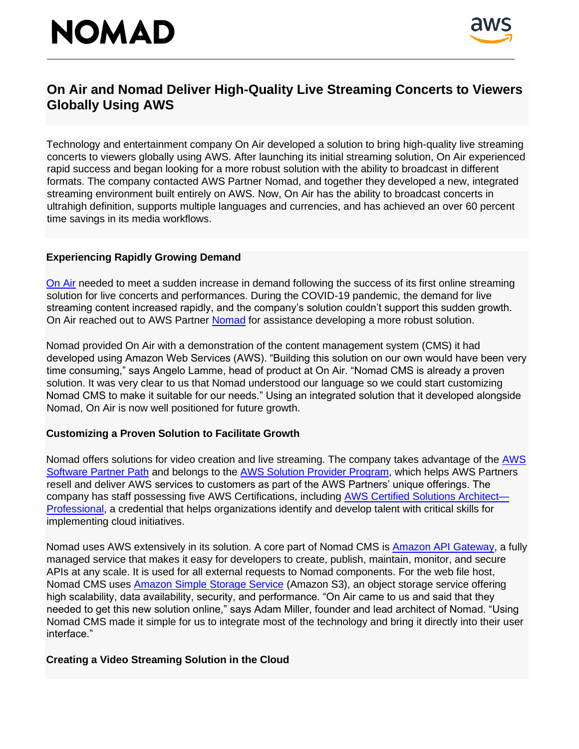# **NOMAD**



### **On Air and Nomad Deliver High-Quality Live Streaming Concerts to Viewers Globally Using AWS**

Technology and entertainment company On Air developed a solution to bring high-quality live streaming concerts to viewers globally using AWS. After launching its initial streaming solution, On Air experienced rapid success and began looking for a more robust solution with the ability to broadcast in different formats. The company contacted AWS Partner Nomad, and together they developed a new, integrated streaming environment built entirely on AWS. Now, On Air has the ability to broadcast concerts in ultrahigh definition, supports multiple languages and currencies, and has achieved an over 60 percent time savings in its media workflows.

#### **Experiencing Rapidly Growing Demand**

[On Air](https://www.onair.events/) needed to meet a sudden increase in demand following the success of its first online streaming solution for live concerts and performances. During the COVID-19 pandemic, the demand for live streaming content increased rapidly, and the company's solution couldn't support this sudden growth. On Air reached out to AWS Partne[r](https://www.nomad-cms.com/) [Nomad](https://www.nomad-cms.com/) for assistance developing a more robust solution.

Nomad provided On Air with a demonstration of the content management system (CMS) it had developed using Amazon Web Services (AWS). "Building this solution on our own would have been very time consuming," says Angelo Lamme, head of product at On Air. "Nomad CMS is already a proven solution. It was very clear to us that Nomad understood our language so we could start customizing Nomad CMS to make it suitable for our needs." Using an integrated solution that it developed alongside Nomad, On Air is now well positioned for future growth.

#### **Customizing a Proven Solution to Facilitate Growth**

Nomad offers solutions for video creation and live streaming. The company takes advantage of the [AWS](https://aws.amazon.com/partners/paths/) [Software Partner Path](https://aws.amazon.com/partners/paths/) and belongs to the [AWS Solution Provider Program,](https://aws.amazon.com/partners/programs/solution-provider/) which helps AWS Partners resell and deliver AWS services to customers as part of the AWS Partners' unique offerings. The company has staff possessing five AWS Certifications, including [AWS Certified Solutions Architect—](https://aws.amazon.com/certification/certified-solutions-architect-professional/) [Professional,](https://aws.amazon.com/certification/certified-solutions-architect-professional/) a credential that helps organizations identify and develop talent with critical skills for implementing cloud initiatives.

Nomad uses AWS extensively in its solution. A core part of Nomad CMS is [Amazon API Gateway,](https://aws.amazon.com/api-gateway/) a fully managed service that makes it easy for developers to create, publish, maintain, monitor, and secure APIs at any scale. It is used for all external requests to Nomad components. For the web file host, Nomad CMS uses [Amazon Simple Storage Service](https://aws.amazon.com/s3/) (Amazon S3), an object storage service offering high scalability, data availability, security, and performance. "On Air came to us and said that they needed to get this new solution online," says Adam Miller, founder and lead architect of Nomad. "Using Nomad CMS made it simple for us to integrate most of the technology and bring it directly into their user interface."

#### **Creating a Video Streaming Solution in the Cloud**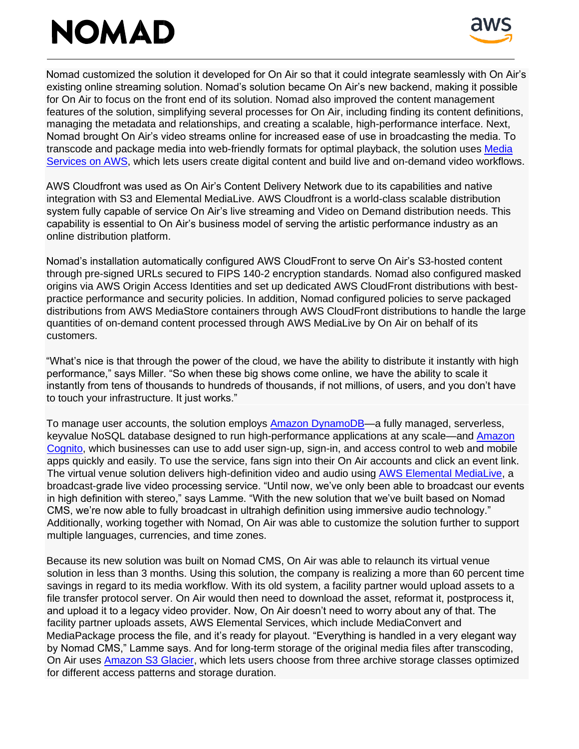## **NOMAD**



Nomad customized the solution it developed for On Air so that it could integrate seamlessly with On Air's existing online streaming solution. Nomad's solution became On Air's new backend, making it possible for On Air to focus on the front end of its solution. Nomad also improved the content management features of the solution, simplifying several processes for On Air, including finding its content definitions, managing the metadata and relationships, and creating a scalable, high-performance interface. Next, Nomad brought On Air's video streams online for increased ease of use in broadcasting the media. To transcode and package media into web-friendly formats for optimal playback, the solution uses [Media](https://aws.amazon.com/media-services/) [Services on AWS,](https://aws.amazon.com/media-services/) which lets users create digital content and build live and on-demand video workflows.

AWS Cloudfront was used as On Air's Content Delivery Network due to its capabilities and native integration with S3 and Elemental MediaLive. AWS Cloudfront is a world-class scalable distribution system fully capable of service On Air's live streaming and Video on Demand distribution needs. This capability is essential to On Air's business model of serving the artistic performance industry as an online distribution platform.

Nomad's installation automatically configured AWS CloudFront to serve On Air's S3-hosted content through pre-signed URLs secured to FIPS 140-2 encryption standards. Nomad also configured masked origins via AWS Origin Access Identities and set up dedicated AWS CloudFront distributions with bestpractice performance and security policies. In addition, Nomad configured policies to serve packaged distributions from AWS MediaStore containers through AWS CloudFront distributions to handle the large quantities of on-demand content processed through AWS MediaLive by On Air on behalf of its customers.

"What's nice is that through the power of the cloud, we have the ability to distribute it instantly with high performance," says Miller. "So when these big shows come online, we have the ability to scale it instantly from tens of thousands to hundreds of thousands, if not millions, of users, and you don't have to touch your infrastructure. It just works."

To manage user accounts, the solution employs **Amazon DynamoDB—a fully managed**, serverless, keyvalue NoSQL database designed to run high-performance applications at any scale—and [Amazon](https://aws.amazon.com/cognito/) [Cognito,](https://aws.amazon.com/cognito/) which businesses can use to add user sign-up, sign-in, and access control to web and mobile apps quickly and easily. To use the service, fans sign into their On Air accounts and click an event link. The virtual venue solution delivers high-definition video and audio using [AWS Elemental MediaLive,](https://aws.amazon.com/medialive/) a broadcast-grade live video processing service. "Until now, we've only been able to broadcast our events in high definition with stereo," says Lamme. "With the new solution that we've built based on Nomad CMS, we're now able to fully broadcast in ultrahigh definition using immersive audio technology." Additionally, working together with Nomad, On Air was able to customize the solution further to support multiple languages, currencies, and time zones.

Because its new solution was built on Nomad CMS, On Air was able to relaunch its virtual venue solution in less than 3 months. Using this solution, the company is realizing a more than 60 percent time savings in regard to its media workflow. With its old system, a facility partner would upload assets to a file transfer protocol server. On Air would then need to download the asset, reformat it, postprocess it, and upload it to a legacy video provider. Now, On Air doesn't need to worry about any of that. The facility partner uploads assets, AWS Elemental Services, which include MediaConvert and MediaPackage process the file, and it's ready for playout. "Everything is handled in a very elegant way by Nomad CMS," Lamme says. And for long-term storage of the original media files after transcoding, On Air uses **Amazon S3 Glacier**, which lets users choose from three archive storage classes optimized for different access patterns and storage duration.